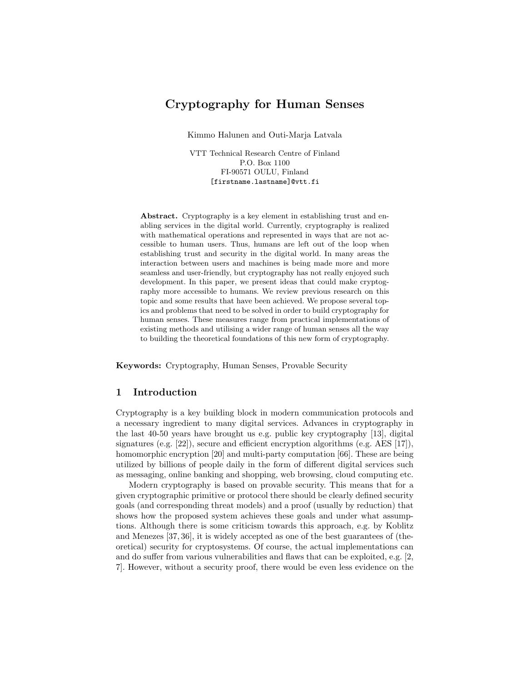# Cryptography for Human Senses

Kimmo Halunen and Outi-Marja Latvala

VTT Technical Research Centre of Finland P.O. Box 1100 FI-90571 OULU, Finland [firstname.lastname]@vtt.fi

Abstract. Cryptography is a key element in establishing trust and enabling services in the digital world. Currently, cryptography is realized with mathematical operations and represented in ways that are not accessible to human users. Thus, humans are left out of the loop when establishing trust and security in the digital world. In many areas the interaction between users and machines is being made more and more seamless and user-friendly, but cryptography has not really enjoyed such development. In this paper, we present ideas that could make cryptography more accessible to humans. We review previous research on this topic and some results that have been achieved. We propose several topics and problems that need to be solved in order to build cryptography for human senses. These measures range from practical implementations of existing methods and utilising a wider range of human senses all the way to building the theoretical foundations of this new form of cryptography.

Keywords: Cryptography, Human Senses, Provable Security

# 1 Introduction

Cryptography is a key building block in modern communication protocols and a necessary ingredient to many digital services. Advances in cryptography in the last 40-50 years have brought us e.g. public key cryptography [13], digital signatures (e.g. [22]), secure and efficient encryption algorithms (e.g. AES [17]), homomorphic encryption [20] and multi-party computation [66]. These are being utilized by billions of people daily in the form of different digital services such as messaging, online banking and shopping, web browsing, cloud computing etc.

Modern cryptography is based on provable security. This means that for a given cryptographic primitive or protocol there should be clearly defined security goals (and corresponding threat models) and a proof (usually by reduction) that shows how the proposed system achieves these goals and under what assumptions. Although there is some criticism towards this approach, e.g. by Koblitz and Menezes [37, 36], it is widely accepted as one of the best guarantees of (theoretical) security for cryptosystems. Of course, the actual implementations can and do suffer from various vulnerabilities and flaws that can be exploited, e.g. [2, 7]. However, without a security proof, there would be even less evidence on the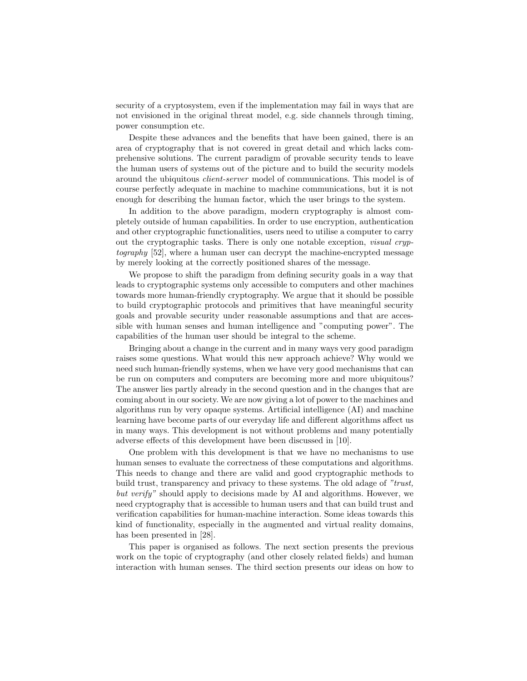security of a cryptosystem, even if the implementation may fail in ways that are not envisioned in the original threat model, e.g. side channels through timing, power consumption etc.

Despite these advances and the benefits that have been gained, there is an area of cryptography that is not covered in great detail and which lacks comprehensive solutions. The current paradigm of provable security tends to leave the human users of systems out of the picture and to build the security models around the ubiquitous client-server model of communications. This model is of course perfectly adequate in machine to machine communications, but it is not enough for describing the human factor, which the user brings to the system.

In addition to the above paradigm, modern cryptography is almost completely outside of human capabilities. In order to use encryption, authentication and other cryptographic functionalities, users need to utilise a computer to carry out the cryptographic tasks. There is only one notable exception, visual cryptography [52], where a human user can decrypt the machine-encrypted message by merely looking at the correctly positioned shares of the message.

We propose to shift the paradigm from defining security goals in a way that leads to cryptographic systems only accessible to computers and other machines towards more human-friendly cryptography. We argue that it should be possible to build cryptographic protocols and primitives that have meaningful security goals and provable security under reasonable assumptions and that are accessible with human senses and human intelligence and "computing power". The capabilities of the human user should be integral to the scheme.

Bringing about a change in the current and in many ways very good paradigm raises some questions. What would this new approach achieve? Why would we need such human-friendly systems, when we have very good mechanisms that can be run on computers and computers are becoming more and more ubiquitous? The answer lies partly already in the second question and in the changes that are coming about in our society. We are now giving a lot of power to the machines and algorithms run by very opaque systems. Artificial intelligence (AI) and machine learning have become parts of our everyday life and different algorithms affect us in many ways. This development is not without problems and many potentially adverse effects of this development have been discussed in [10].

One problem with this development is that we have no mechanisms to use human senses to evaluate the correctness of these computations and algorithms. This needs to change and there are valid and good cryptographic methods to build trust, transparency and privacy to these systems. The old adage of "trust, but verify" should apply to decisions made by AI and algorithms. However, we need cryptography that is accessible to human users and that can build trust and verification capabilities for human-machine interaction. Some ideas towards this kind of functionality, especially in the augmented and virtual reality domains, has been presented in [28].

This paper is organised as follows. The next section presents the previous work on the topic of cryptography (and other closely related fields) and human interaction with human senses. The third section presents our ideas on how to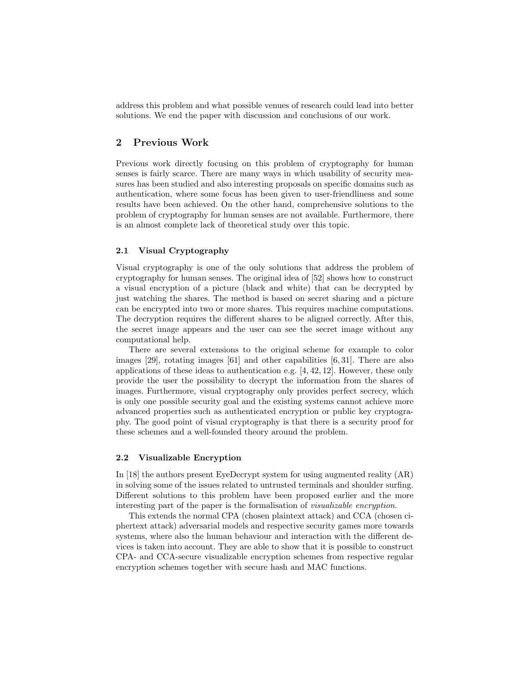address this problem and what possible venues of research could lead into better solutions. We end the paper with discussion and conclusions of our work.

# 2 Previous Work

Previous work directly focusing on this problem of cryptography for human senses is fairly scarce. There are many ways in which usability of security measures has been studied and also interesting proposals on specific domains such as authentication, where some focus has been given to user-friendliness and some results have been achieved. On the other hand, comprehensive solutions to the problem of cryptography for human senses are not available. Furthermore, there is an almost complete lack of theoretical study over this topic.

### 2.1 Visual Cryptography

Visual cryptography is one of the only solutions that address the problem of cryptography for human senses. The original idea of [52] shows how to construct a visual encryption of a picture (black and white) that can be decrypted by just watching the shares. The method is based on secret sharing and a picture can be encrypted into two or more shares. This requires machine computations. The decryption requires the different shares to be aligned correctly. After this, the secret image appears and the user can see the secret image without any computational help.

There are several extensions to the original scheme for example to color images [29], rotating images [61] and other capabilities [6, 31]. There are also applications of these ideas to authentication e.g. [4, 42, 12]. However, these only provide the user the possibility to decrypt the information from the shares of images. Furthermore, visual cryptography only provides perfect secrecy, which is only one possible security goal and the existing systems cannot achieve more advanced properties such as authenticated encryption or public key cryptography. The good point of visual cryptography is that there is a security proof for these schemes and a well-founded theory around the problem.

### 2.2 Visualizable Encryption

In [18] the authors present EyeDecrypt system for using augmented reality (AR) in solving some of the issues related to untrusted terminals and shoulder surfing. Different solutions to this problem have been proposed earlier and the more interesting part of the paper is the formalisation of visualizable encryption.

This extends the normal CPA (chosen plaintext attack) and CCA (chosen ciphertext attack) adversarial models and respective security games more towards systems, where also the human behaviour and interaction with the different devices is taken into account. They are able to show that it is possible to construct CPA- and CCA-secure visualizable encryption schemes from respective regular encryption schemes together with secure hash and MAC functions.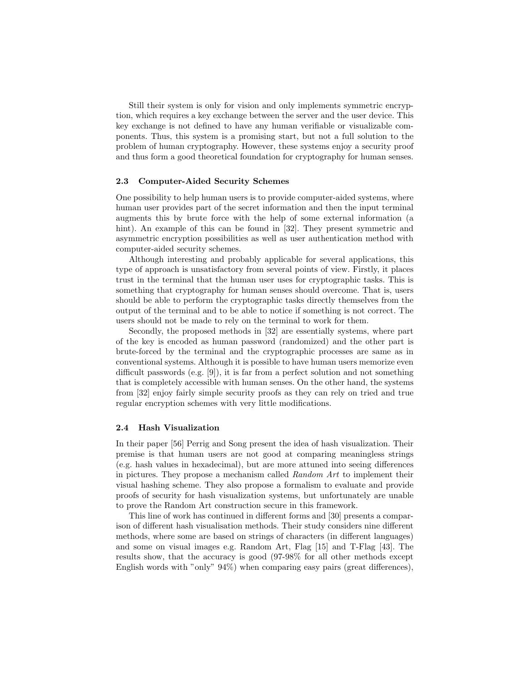Still their system is only for vision and only implements symmetric encryption, which requires a key exchange between the server and the user device. This key exchange is not defined to have any human verifiable or visualizable components. Thus, this system is a promising start, but not a full solution to the problem of human cryptography. However, these systems enjoy a security proof and thus form a good theoretical foundation for cryptography for human senses.

### 2.3 Computer-Aided Security Schemes

One possibility to help human users is to provide computer-aided systems, where human user provides part of the secret information and then the input terminal augments this by brute force with the help of some external information (a hint). An example of this can be found in [32]. They present symmetric and asymmetric encryption possibilities as well as user authentication method with computer-aided security schemes.

Although interesting and probably applicable for several applications, this type of approach is unsatisfactory from several points of view. Firstly, it places trust in the terminal that the human user uses for cryptographic tasks. This is something that cryptography for human senses should overcome. That is, users should be able to perform the cryptographic tasks directly themselves from the output of the terminal and to be able to notice if something is not correct. The users should not be made to rely on the terminal to work for them.

Secondly, the proposed methods in [32] are essentially systems, where part of the key is encoded as human password (randomized) and the other part is brute-forced by the terminal and the cryptographic processes are same as in conventional systems. Although it is possible to have human users memorize even difficult passwords (e.g.  $[9]$ ), it is far from a perfect solution and not something that is completely accessible with human senses. On the other hand, the systems from [32] enjoy fairly simple security proofs as they can rely on tried and true regular encryption schemes with very little modifications.

#### 2.4 Hash Visualization

In their paper [56] Perrig and Song present the idea of hash visualization. Their premise is that human users are not good at comparing meaningless strings (e.g. hash values in hexadecimal), but are more attuned into seeing differences in pictures. They propose a mechanism called Random Art to implement their visual hashing scheme. They also propose a formalism to evaluate and provide proofs of security for hash visualization systems, but unfortunately are unable to prove the Random Art construction secure in this framework.

This line of work has continued in different forms and [30] presents a comparison of different hash visualisation methods. Their study considers nine different methods, where some are based on strings of characters (in different languages) and some on visual images e.g. Random Art, Flag [15] and T-Flag [43]. The results show, that the accuracy is good (97-98% for all other methods except English words with "only" 94%) when comparing easy pairs (great differences),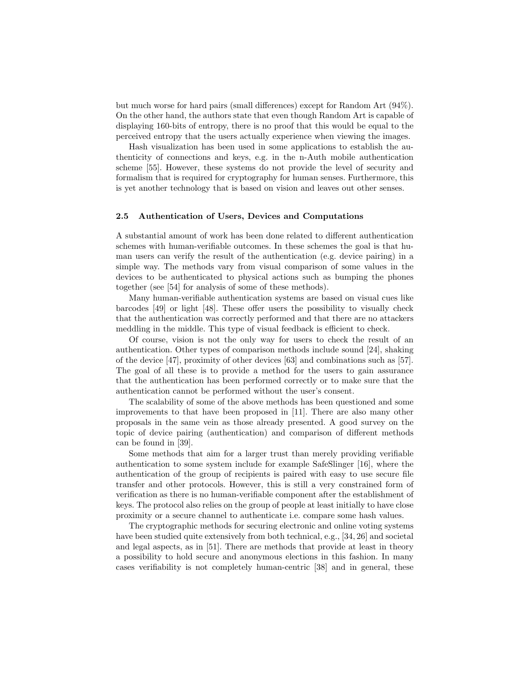but much worse for hard pairs (small differences) except for Random Art (94%). On the other hand, the authors state that even though Random Art is capable of displaying 160-bits of entropy, there is no proof that this would be equal to the perceived entropy that the users actually experience when viewing the images.

Hash visualization has been used in some applications to establish the authenticity of connections and keys, e.g. in the n-Auth mobile authentication scheme [55]. However, these systems do not provide the level of security and formalism that is required for cryptography for human senses. Furthermore, this is yet another technology that is based on vision and leaves out other senses.

### 2.5 Authentication of Users, Devices and Computations

A substantial amount of work has been done related to different authentication schemes with human-verifiable outcomes. In these schemes the goal is that human users can verify the result of the authentication (e.g. device pairing) in a simple way. The methods vary from visual comparison of some values in the devices to be authenticated to physical actions such as bumping the phones together (see [54] for analysis of some of these methods).

Many human-verifiable authentication systems are based on visual cues like barcodes [49] or light [48]. These offer users the possibility to visually check that the authentication was correctly performed and that there are no attackers meddling in the middle. This type of visual feedback is efficient to check.

Of course, vision is not the only way for users to check the result of an authentication. Other types of comparison methods include sound [24], shaking of the device [47], proximity of other devices [63] and combinations such as [57]. The goal of all these is to provide a method for the users to gain assurance that the authentication has been performed correctly or to make sure that the authentication cannot be performed without the user's consent.

The scalability of some of the above methods has been questioned and some improvements to that have been proposed in [11]. There are also many other proposals in the same vein as those already presented. A good survey on the topic of device pairing (authentication) and comparison of different methods can be found in [39].

Some methods that aim for a larger trust than merely providing verifiable authentication to some system include for example SafeSlinger [16], where the authentication of the group of recipients is paired with easy to use secure file transfer and other protocols. However, this is still a very constrained form of verification as there is no human-verifiable component after the establishment of keys. The protocol also relies on the group of people at least initially to have close proximity or a secure channel to authenticate i.e. compare some hash values.

The cryptographic methods for securing electronic and online voting systems have been studied quite extensively from both technical, e.g., [34, 26] and societal and legal aspects, as in [51]. There are methods that provide at least in theory a possibility to hold secure and anonymous elections in this fashion. In many cases verifiability is not completely human-centric [38] and in general, these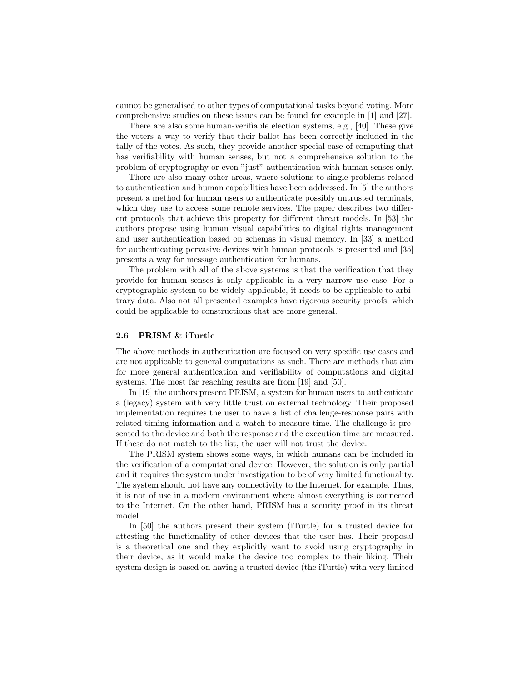cannot be generalised to other types of computational tasks beyond voting. More comprehensive studies on these issues can be found for example in [1] and [27].

There are also some human-verifiable election systems, e.g., [40]. These give the voters a way to verify that their ballot has been correctly included in the tally of the votes. As such, they provide another special case of computing that has verifiability with human senses, but not a comprehensive solution to the problem of cryptography or even "just" authentication with human senses only.

There are also many other areas, where solutions to single problems related to authentication and human capabilities have been addressed. In [5] the authors present a method for human users to authenticate possibly untrusted terminals, which they use to access some remote services. The paper describes two different protocols that achieve this property for different threat models. In [53] the authors propose using human visual capabilities to digital rights management and user authentication based on schemas in visual memory. In [33] a method for authenticating pervasive devices with human protocols is presented and [35] presents a way for message authentication for humans.

The problem with all of the above systems is that the verification that they provide for human senses is only applicable in a very narrow use case. For a cryptographic system to be widely applicable, it needs to be applicable to arbitrary data. Also not all presented examples have rigorous security proofs, which could be applicable to constructions that are more general.

### 2.6 PRISM & iTurtle

The above methods in authentication are focused on very specific use cases and are not applicable to general computations as such. There are methods that aim for more general authentication and verifiability of computations and digital systems. The most far reaching results are from [19] and [50].

In [19] the authors present PRISM, a system for human users to authenticate a (legacy) system with very little trust on external technology. Their proposed implementation requires the user to have a list of challenge-response pairs with related timing information and a watch to measure time. The challenge is presented to the device and both the response and the execution time are measured. If these do not match to the list, the user will not trust the device.

The PRISM system shows some ways, in which humans can be included in the verification of a computational device. However, the solution is only partial and it requires the system under investigation to be of very limited functionality. The system should not have any connectivity to the Internet, for example. Thus, it is not of use in a modern environment where almost everything is connected to the Internet. On the other hand, PRISM has a security proof in its threat model.

In [50] the authors present their system (iTurtle) for a trusted device for attesting the functionality of other devices that the user has. Their proposal is a theoretical one and they explicitly want to avoid using cryptography in their device, as it would make the device too complex to their liking. Their system design is based on having a trusted device (the iTurtle) with very limited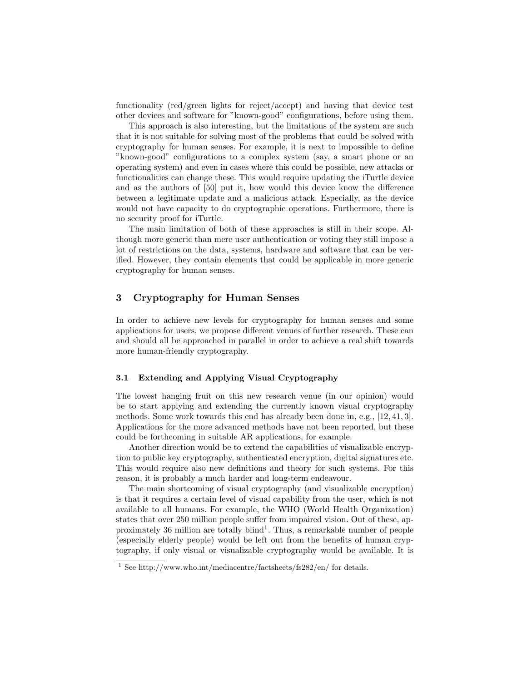functionality (red/green lights for reject/accept) and having that device test other devices and software for "known-good" configurations, before using them.

This approach is also interesting, but the limitations of the system are such that it is not suitable for solving most of the problems that could be solved with cryptography for human senses. For example, it is next to impossible to define "known-good" configurations to a complex system (say, a smart phone or an operating system) and even in cases where this could be possible, new attacks or functionalities can change these. This would require updating the iTurtle device and as the authors of [50] put it, how would this device know the difference between a legitimate update and a malicious attack. Especially, as the device would not have capacity to do cryptographic operations. Furthermore, there is no security proof for iTurtle.

The main limitation of both of these approaches is still in their scope. Although more generic than mere user authentication or voting they still impose a lot of restrictions on the data, systems, hardware and software that can be verified. However, they contain elements that could be applicable in more generic cryptography for human senses.

# 3 Cryptography for Human Senses

In order to achieve new levels for cryptography for human senses and some applications for users, we propose different venues of further research. These can and should all be approached in parallel in order to achieve a real shift towards more human-friendly cryptography.

# 3.1 Extending and Applying Visual Cryptography

The lowest hanging fruit on this new research venue (in our opinion) would be to start applying and extending the currently known visual cryptography methods. Some work towards this end has already been done in, e.g., [12, 41, 3]. Applications for the more advanced methods have not been reported, but these could be forthcoming in suitable AR applications, for example.

Another direction would be to extend the capabilities of visualizable encryption to public key cryptography, authenticated encryption, digital signatures etc. This would require also new definitions and theory for such systems. For this reason, it is probably a much harder and long-term endeavour.

The main shortcoming of visual cryptography (and visualizable encryption) is that it requires a certain level of visual capability from the user, which is not available to all humans. For example, the WHO (World Health Organization) states that over 250 million people suffer from impaired vision. Out of these, approximately 36 million are totally  $b$ lind<sup>1</sup>. Thus, a remarkable number of people (especially elderly people) would be left out from the benefits of human cryptography, if only visual or visualizable cryptography would be available. It is

<sup>&</sup>lt;sup>1</sup> See http://www.who.int/mediacentre/factsheets/fs282/en/ for details.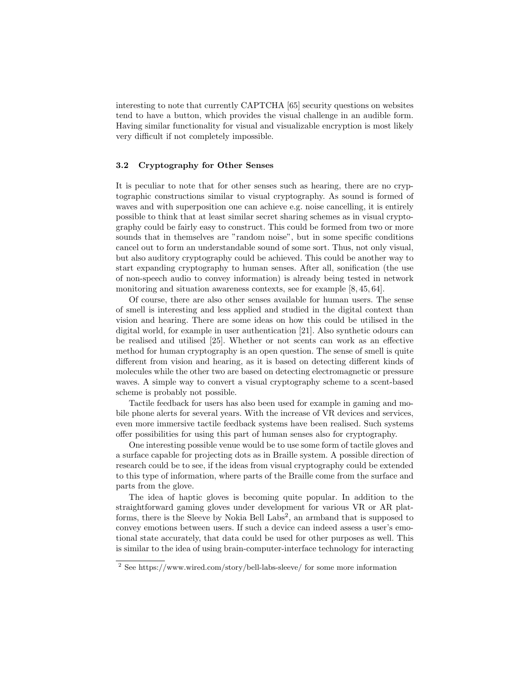interesting to note that currently CAPTCHA [65] security questions on websites tend to have a button, which provides the visual challenge in an audible form. Having similar functionality for visual and visualizable encryption is most likely very difficult if not completely impossible.

### 3.2 Cryptography for Other Senses

It is peculiar to note that for other senses such as hearing, there are no cryptographic constructions similar to visual cryptography. As sound is formed of waves and with superposition one can achieve e.g. noise cancelling, it is entirely possible to think that at least similar secret sharing schemes as in visual cryptography could be fairly easy to construct. This could be formed from two or more sounds that in themselves are "random noise", but in some specific conditions cancel out to form an understandable sound of some sort. Thus, not only visual, but also auditory cryptography could be achieved. This could be another way to start expanding cryptography to human senses. After all, sonification (the use of non-speech audio to convey information) is already being tested in network monitoring and situation awareness contexts, see for example [8, 45, 64].

Of course, there are also other senses available for human users. The sense of smell is interesting and less applied and studied in the digital context than vision and hearing. There are some ideas on how this could be utilised in the digital world, for example in user authentication [21]. Also synthetic odours can be realised and utilised [25]. Whether or not scents can work as an effective method for human cryptography is an open question. The sense of smell is quite different from vision and hearing, as it is based on detecting different kinds of molecules while the other two are based on detecting electromagnetic or pressure waves. A simple way to convert a visual cryptography scheme to a scent-based scheme is probably not possible.

Tactile feedback for users has also been used for example in gaming and mobile phone alerts for several years. With the increase of VR devices and services, even more immersive tactile feedback systems have been realised. Such systems offer possibilities for using this part of human senses also for cryptography.

One interesting possible venue would be to use some form of tactile gloves and a surface capable for projecting dots as in Braille system. A possible direction of research could be to see, if the ideas from visual cryptography could be extended to this type of information, where parts of the Braille come from the surface and parts from the glove.

The idea of haptic gloves is becoming quite popular. In addition to the straightforward gaming gloves under development for various VR or AR platforms, there is the Sleeve by Nokia Bell Labs<sup>2</sup>, an armband that is supposed to convey emotions between users. If such a device can indeed assess a user's emotional state accurately, that data could be used for other purposes as well. This is similar to the idea of using brain-computer-interface technology for interacting

<sup>2</sup> See https://www.wired.com/story/bell-labs-sleeve/ for some more information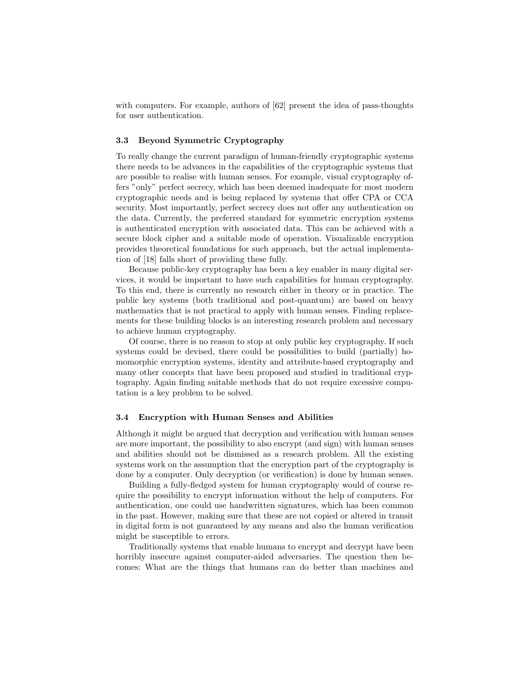with computers. For example, authors of [62] present the idea of pass-thoughts for user authentication.

### 3.3 Beyond Symmetric Cryptography

To really change the current paradigm of human-friendly cryptographic systems there needs to be advances in the capabilities of the cryptographic systems that are possible to realise with human senses. For example, visual cryptography offers "only" perfect secrecy, which has been deemed inadequate for most modern cryptographic needs and is being replaced by systems that offer CPA or CCA security. Most importantly, perfect secrecy does not offer any authentication on the data. Currently, the preferred standard for symmetric encryption systems is authenticated encryption with associated data. This can be achieved with a secure block cipher and a suitable mode of operation. Visualizable encryption provides theoretical foundations for such approach, but the actual implementation of [18] falls short of providing these fully.

Because public-key cryptography has been a key enabler in many digital services, it would be important to have such capabilities for human cryptography. To this end, there is currently no research either in theory or in practice. The public key systems (both traditional and post-quantum) are based on heavy mathematics that is not practical to apply with human senses. Finding replacements for these building blocks is an interesting research problem and necessary to achieve human cryptography.

Of course, there is no reason to stop at only public key cryptography. If such systems could be devised, there could be possibilities to build (partially) homomorphic encryption systems, identity and attribute-based cryptography and many other concepts that have been proposed and studied in traditional cryptography. Again finding suitable methods that do not require excessive computation is a key problem to be solved.

#### 3.4 Encryption with Human Senses and Abilities

Although it might be argued that decryption and verification with human senses are more important, the possibility to also encrypt (and sign) with human senses and abilities should not be dismissed as a research problem. All the existing systems work on the assumption that the encryption part of the cryptography is done by a computer. Only decryption (or verification) is done by human senses.

Building a fully-fledged system for human cryptography would of course require the possibility to encrypt information without the help of computers. For authentication, one could use handwritten signatures, which has been common in the past. However, making sure that these are not copied or altered in transit in digital form is not guaranteed by any means and also the human verification might be susceptible to errors.

Traditionally systems that enable humans to encrypt and decrypt have been horribly insecure against computer-aided adversaries. The question then becomes: What are the things that humans can do better than machines and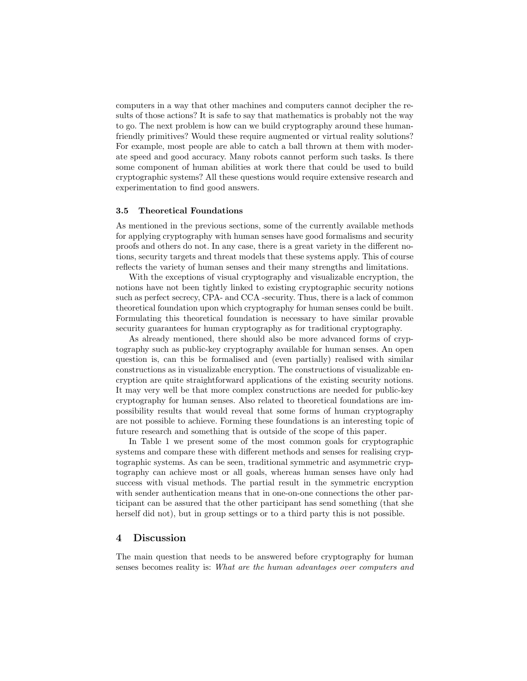computers in a way that other machines and computers cannot decipher the results of those actions? It is safe to say that mathematics is probably not the way to go. The next problem is how can we build cryptography around these humanfriendly primitives? Would these require augmented or virtual reality solutions? For example, most people are able to catch a ball thrown at them with moderate speed and good accuracy. Many robots cannot perform such tasks. Is there some component of human abilities at work there that could be used to build cryptographic systems? All these questions would require extensive research and experimentation to find good answers.

#### 3.5 Theoretical Foundations

As mentioned in the previous sections, some of the currently available methods for applying cryptography with human senses have good formalisms and security proofs and others do not. In any case, there is a great variety in the different notions, security targets and threat models that these systems apply. This of course reflects the variety of human senses and their many strengths and limitations.

With the exceptions of visual cryptography and visualizable encryption, the notions have not been tightly linked to existing cryptographic security notions such as perfect secrecy, CPA- and CCA -security. Thus, there is a lack of common theoretical foundation upon which cryptography for human senses could be built. Formulating this theoretical foundation is necessary to have similar provable security guarantees for human cryptography as for traditional cryptography.

As already mentioned, there should also be more advanced forms of cryptography such as public-key cryptography available for human senses. An open question is, can this be formalised and (even partially) realised with similar constructions as in visualizable encryption. The constructions of visualizable encryption are quite straightforward applications of the existing security notions. It may very well be that more complex constructions are needed for public-key cryptography for human senses. Also related to theoretical foundations are impossibility results that would reveal that some forms of human cryptography are not possible to achieve. Forming these foundations is an interesting topic of future research and something that is outside of the scope of this paper.

In Table 1 we present some of the most common goals for cryptographic systems and compare these with different methods and senses for realising cryptographic systems. As can be seen, traditional symmetric and asymmetric cryptography can achieve most or all goals, whereas human senses have only had success with visual methods. The partial result in the symmetric encryption with sender authentication means that in one-on-one connections the other participant can be assured that the other participant has send something (that she herself did not), but in group settings or to a third party this is not possible.

# 4 Discussion

The main question that needs to be answered before cryptography for human senses becomes reality is: What are the human advantages over computers and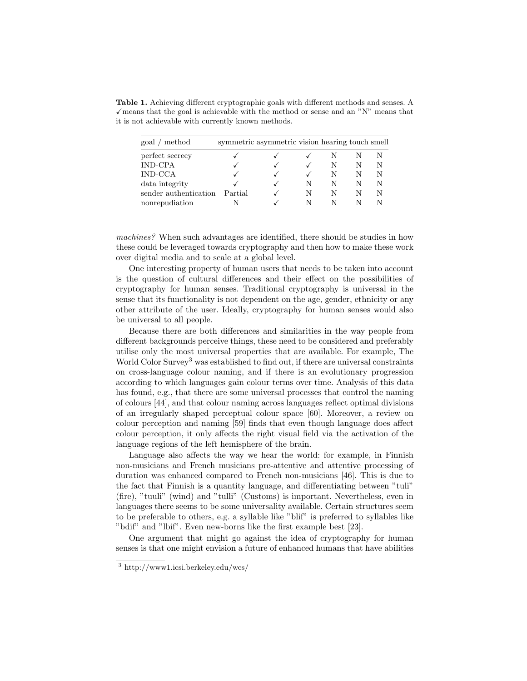Table 1. Achieving different cryptographic goals with different methods and senses. A  $\sqrt{\ }$  means that the goal is achievable with the method or sense and an "N" means that it is not achievable with currently known methods.

| goal / method         |         | symmetric asymmetric vision hearing touch smell |   |   |   |   |
|-----------------------|---------|-------------------------------------------------|---|---|---|---|
| perfect secrecy       |         |                                                 |   |   |   | N |
| <b>IND-CPA</b>        |         |                                                 |   | N | N | N |
| IND-CCA               |         |                                                 |   | N | N | N |
| data integrity        |         |                                                 | N | N | N | N |
| sender authentication | Partial |                                                 | N | N | N | N |
| nonrepudiation        |         |                                                 | N |   |   |   |

machines? When such advantages are identified, there should be studies in how these could be leveraged towards cryptography and then how to make these work over digital media and to scale at a global level.

One interesting property of human users that needs to be taken into account is the question of cultural differences and their effect on the possibilities of cryptography for human senses. Traditional cryptography is universal in the sense that its functionality is not dependent on the age, gender, ethnicity or any other attribute of the user. Ideally, cryptography for human senses would also be universal to all people.

Because there are both differences and similarities in the way people from different backgrounds perceive things, these need to be considered and preferably utilise only the most universal properties that are available. For example, The World Color Survey<sup>3</sup> was established to find out, if there are universal constraints on cross-language colour naming, and if there is an evolutionary progression according to which languages gain colour terms over time. Analysis of this data has found, e.g., that there are some universal processes that control the naming of colours [44], and that colour naming across languages reflect optimal divisions of an irregularly shaped perceptual colour space [60]. Moreover, a review on colour perception and naming [59] finds that even though language does affect colour perception, it only affects the right visual field via the activation of the language regions of the left hemisphere of the brain.

Language also affects the way we hear the world: for example, in Finnish non-musicians and French musicians pre-attentive and attentive processing of duration was enhanced compared to French non-musicians [46]. This is due to the fact that Finnish is a quantity language, and differentiating between "tuli" (fire), "tuuli" (wind) and "tulli" (Customs) is important. Nevertheless, even in languages there seems to be some universality available. Certain structures seem to be preferable to others, e.g. a syllable like "blif" is preferred to syllables like "bdif" and "lbif". Even new-borns like the first example best [23].

One argument that might go against the idea of cryptography for human senses is that one might envision a future of enhanced humans that have abilities

<sup>3</sup> http://www1.icsi.berkeley.edu/wcs/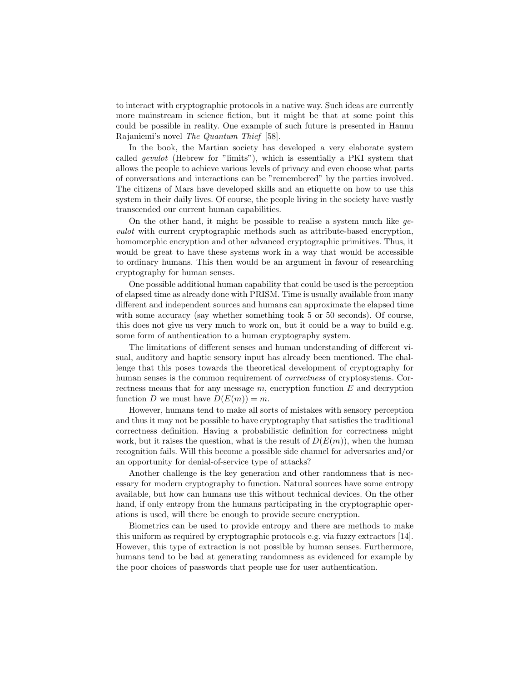to interact with cryptographic protocols in a native way. Such ideas are currently more mainstream in science fiction, but it might be that at some point this could be possible in reality. One example of such future is presented in Hannu Rajaniemi's novel The Quantum Thief [58].

In the book, the Martian society has developed a very elaborate system called gevulot (Hebrew for "limits"), which is essentially a PKI system that allows the people to achieve various levels of privacy and even choose what parts of conversations and interactions can be "remembered" by the parties involved. The citizens of Mars have developed skills and an etiquette on how to use this system in their daily lives. Of course, the people living in the society have vastly transcended our current human capabilities.

On the other hand, it might be possible to realise a system much like  $q$ evulot with current cryptographic methods such as attribute-based encryption, homomorphic encryption and other advanced cryptographic primitives. Thus, it would be great to have these systems work in a way that would be accessible to ordinary humans. This then would be an argument in favour of researching cryptography for human senses.

One possible additional human capability that could be used is the perception of elapsed time as already done with PRISM. Time is usually available from many different and independent sources and humans can approximate the elapsed time with some accuracy (say whether something took 5 or 50 seconds). Of course, this does not give us very much to work on, but it could be a way to build e.g. some form of authentication to a human cryptography system.

The limitations of different senses and human understanding of different visual, auditory and haptic sensory input has already been mentioned. The challenge that this poses towards the theoretical development of cryptography for human senses is the common requirement of *correctness* of cryptosystems. Correctness means that for any message  $m$ , encryption function  $E$  and decryption function D we must have  $D(E(m)) = m$ .

However, humans tend to make all sorts of mistakes with sensory perception and thus it may not be possible to have cryptography that satisfies the traditional correctness definition. Having a probabilistic definition for correctness might work, but it raises the question, what is the result of  $D(E(m))$ , when the human recognition fails. Will this become a possible side channel for adversaries and/or an opportunity for denial-of-service type of attacks?

Another challenge is the key generation and other randomness that is necessary for modern cryptography to function. Natural sources have some entropy available, but how can humans use this without technical devices. On the other hand, if only entropy from the humans participating in the cryptographic operations is used, will there be enough to provide secure encryption.

Biometrics can be used to provide entropy and there are methods to make this uniform as required by cryptographic protocols e.g. via fuzzy extractors [14]. However, this type of extraction is not possible by human senses. Furthermore, humans tend to be bad at generating randomness as evidenced for example by the poor choices of passwords that people use for user authentication.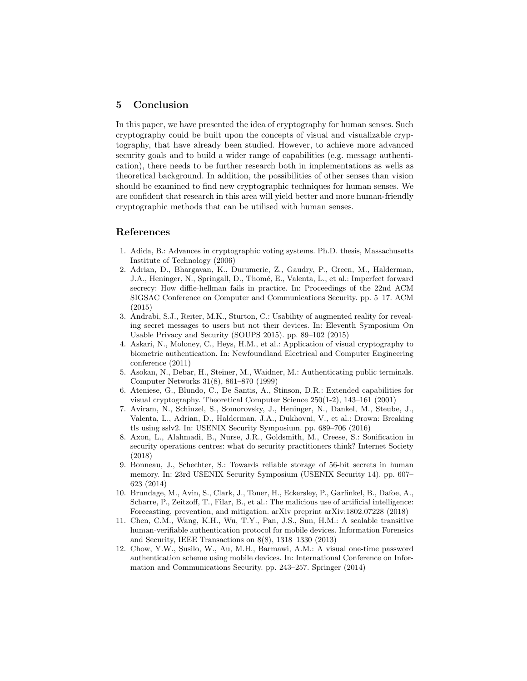### 5 Conclusion

In this paper, we have presented the idea of cryptography for human senses. Such cryptography could be built upon the concepts of visual and visualizable cryptography, that have already been studied. However, to achieve more advanced security goals and to build a wider range of capabilities (e.g. message authentication), there needs to be further research both in implementations as wells as theoretical background. In addition, the possibilities of other senses than vision should be examined to find new cryptographic techniques for human senses. We are confident that research in this area will yield better and more human-friendly cryptographic methods that can be utilised with human senses.

### References

- 1. Adida, B.: Advances in cryptographic voting systems. Ph.D. thesis, Massachusetts Institute of Technology (2006)
- 2. Adrian, D., Bhargavan, K., Durumeric, Z., Gaudry, P., Green, M., Halderman, J.A., Heninger, N., Springall, D., Thomé, E., Valenta, L., et al.: Imperfect forward secrecy: How diffie-hellman fails in practice. In: Proceedings of the 22nd ACM SIGSAC Conference on Computer and Communications Security. pp. 5–17. ACM (2015)
- 3. Andrabi, S.J., Reiter, M.K., Sturton, C.: Usability of augmented reality for revealing secret messages to users but not their devices. In: Eleventh Symposium On Usable Privacy and Security (SOUPS 2015). pp. 89–102 (2015)
- 4. Askari, N., Moloney, C., Heys, H.M., et al.: Application of visual cryptography to biometric authentication. In: Newfoundland Electrical and Computer Engineering conference (2011)
- 5. Asokan, N., Debar, H., Steiner, M., Waidner, M.: Authenticating public terminals. Computer Networks 31(8), 861–870 (1999)
- 6. Ateniese, G., Blundo, C., De Santis, A., Stinson, D.R.: Extended capabilities for visual cryptography. Theoretical Computer Science 250(1-2), 143–161 (2001)
- 7. Aviram, N., Schinzel, S., Somorovsky, J., Heninger, N., Dankel, M., Steube, J., Valenta, L., Adrian, D., Halderman, J.A., Dukhovni, V., et al.: Drown: Breaking tls using sslv2. In: USENIX Security Symposium. pp. 689–706 (2016)
- 8. Axon, L., Alahmadi, B., Nurse, J.R., Goldsmith, M., Creese, S.: Sonification in security operations centres: what do security practitioners think? Internet Society (2018)
- 9. Bonneau, J., Schechter, S.: Towards reliable storage of 56-bit secrets in human memory. In: 23rd USENIX Security Symposium (USENIX Security 14). pp. 607– 623 (2014)
- 10. Brundage, M., Avin, S., Clark, J., Toner, H., Eckersley, P., Garfinkel, B., Dafoe, A., Scharre, P., Zeitzoff, T., Filar, B., et al.: The malicious use of artificial intelligence: Forecasting, prevention, and mitigation. arXiv preprint arXiv:1802.07228 (2018)
- 11. Chen, C.M., Wang, K.H., Wu, T.Y., Pan, J.S., Sun, H.M.: A scalable transitive human-verifiable authentication protocol for mobile devices. Information Forensics and Security, IEEE Transactions on 8(8), 1318–1330 (2013)
- 12. Chow, Y.W., Susilo, W., Au, M.H., Barmawi, A.M.: A visual one-time password authentication scheme using mobile devices. In: International Conference on Information and Communications Security. pp. 243–257. Springer (2014)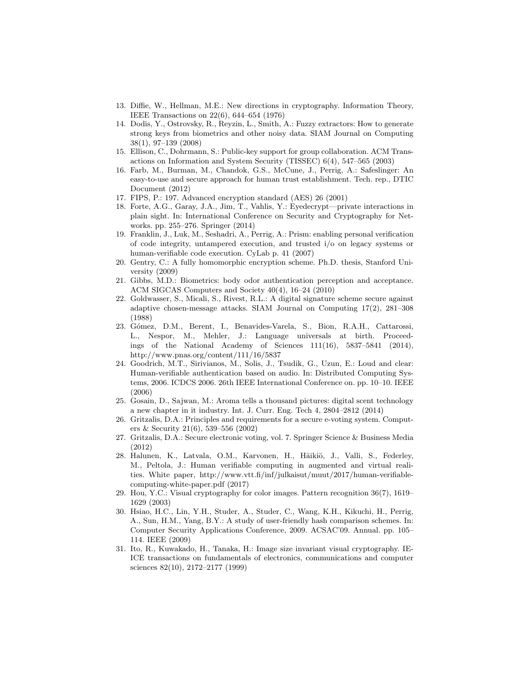- 13. Diffie, W., Hellman, M.E.: New directions in cryptography. Information Theory, IEEE Transactions on 22(6), 644–654 (1976)
- 14. Dodis, Y., Ostrovsky, R., Reyzin, L., Smith, A.: Fuzzy extractors: How to generate strong keys from biometrics and other noisy data. SIAM Journal on Computing 38(1), 97–139 (2008)
- 15. Ellison, C., Dohrmann, S.: Public-key support for group collaboration. ACM Transactions on Information and System Security (TISSEC) 6(4), 547–565 (2003)
- 16. Farb, M., Burman, M., Chandok, G.S., McCune, J., Perrig, A.: Safeslinger: An easy-to-use and secure approach for human trust establishment. Tech. rep., DTIC Document (2012)
- 17. FIPS, P.: 197. Advanced encryption standard (AES) 26 (2001)
- 18. Forte, A.G., Garay, J.A., Jim, T., Vahlis, Y.: Eyedecrypt—private interactions in plain sight. In: International Conference on Security and Cryptography for Networks. pp. 255–276. Springer (2014)
- 19. Franklin, J., Luk, M., Seshadri, A., Perrig, A.: Prism: enabling personal verification of code integrity, untampered execution, and trusted i/o on legacy systems or human-verifiable code execution. CyLab p. 41 (2007)
- 20. Gentry, C.: A fully homomorphic encryption scheme. Ph.D. thesis, Stanford University (2009)
- 21. Gibbs, M.D.: Biometrics: body odor authentication perception and acceptance. ACM SIGCAS Computers and Society 40(4), 16–24 (2010)
- 22. Goldwasser, S., Micali, S., Rivest, R.L.: A digital signature scheme secure against adaptive chosen-message attacks. SIAM Journal on Computing 17(2), 281–308 (1988)
- 23. Gómez, D.M., Berent, I., Benavides-Varela, S., Bion, R.A.H., Cattarossi, L., Nespor, M., Mehler, J.: Language universals at birth. Proceedings of the National Academy of Sciences 111(16), 5837–5841 (2014), http://www.pnas.org/content/111/16/5837
- 24. Goodrich, M.T., Sirivianos, M., Solis, J., Tsudik, G., Uzun, E.: Loud and clear: Human-verifiable authentication based on audio. In: Distributed Computing Systems, 2006. ICDCS 2006. 26th IEEE International Conference on. pp. 10–10. IEEE (2006)
- 25. Gosain, D., Sajwan, M.: Aroma tells a thousand pictures: digital scent technology a new chapter in it industry. Int. J. Curr. Eng. Tech 4, 2804–2812 (2014)
- 26. Gritzalis, D.A.: Principles and requirements for a secure e-voting system. Computers & Security 21(6), 539–556 (2002)
- 27. Gritzalis, D.A.: Secure electronic voting, vol. 7. Springer Science & Business Media (2012)
- 28. Halunen, K., Latvala, O.M., Karvonen, H., Häikiö, J., Valli, S., Federley, M., Peltola, J.: Human verifiable computing in augmented and virtual realities. White paper, http://www.vtt.fi/inf/julkaisut/muut/2017/human-verifiablecomputing-white-paper.pdf (2017)
- 29. Hou, Y.C.: Visual cryptography for color images. Pattern recognition 36(7), 1619– 1629 (2003)
- 30. Hsiao, H.C., Lin, Y.H., Studer, A., Studer, C., Wang, K.H., Kikuchi, H., Perrig, A., Sun, H.M., Yang, B.Y.: A study of user-friendly hash comparison schemes. In: Computer Security Applications Conference, 2009. ACSAC'09. Annual. pp. 105– 114. IEEE (2009)
- 31. Ito, R., Kuwakado, H., Tanaka, H.: Image size invariant visual cryptography. IE-ICE transactions on fundamentals of electronics, communications and computer sciences 82(10), 2172–2177 (1999)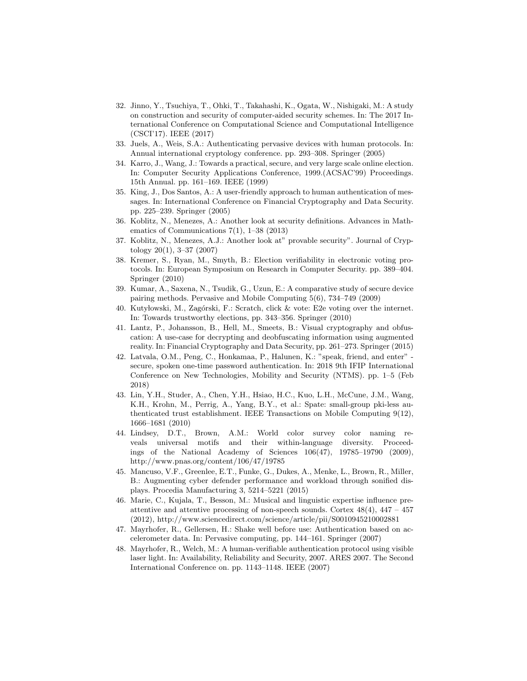- 32. Jinno, Y., Tsuchiya, T., Ohki, T., Takahashi, K., Ogata, W., Nishigaki, M.: A study on construction and security of computer-aided security schemes. In: The 2017 International Conference on Computational Science and Computational Intelligence (CSCI'17). IEEE (2017)
- 33. Juels, A., Weis, S.A.: Authenticating pervasive devices with human protocols. In: Annual international cryptology conference. pp. 293–308. Springer (2005)
- 34. Karro, J., Wang, J.: Towards a practical, secure, and very large scale online election. In: Computer Security Applications Conference, 1999.(ACSAC'99) Proceedings. 15th Annual. pp. 161–169. IEEE (1999)
- 35. King, J., Dos Santos, A.: A user-friendly approach to human authentication of messages. In: International Conference on Financial Cryptography and Data Security. pp. 225–239. Springer (2005)
- 36. Koblitz, N., Menezes, A.: Another look at security definitions. Advances in Mathematics of Communications 7(1), 1–38 (2013)
- 37. Koblitz, N., Menezes, A.J.: Another look at" provable security". Journal of Cryptology 20(1), 3–37 (2007)
- 38. Kremer, S., Ryan, M., Smyth, B.: Election verifiability in electronic voting protocols. In: European Symposium on Research in Computer Security. pp. 389–404. Springer (2010)
- 39. Kumar, A., Saxena, N., Tsudik, G., Uzun, E.: A comparative study of secure device pairing methods. Pervasive and Mobile Computing 5(6), 734–749 (2009)
- 40. Kutyłowski, M., Zagórski, F.: Scratch, click & vote: E2e voting over the internet. In: Towards trustworthy elections, pp. 343–356. Springer (2010)
- 41. Lantz, P., Johansson, B., Hell, M., Smeets, B.: Visual cryptography and obfuscation: A use-case for decrypting and deobfuscating information using augmented reality. In: Financial Cryptography and Data Security, pp. 261–273. Springer (2015)
- 42. Latvala, O.M., Peng, C., Honkamaa, P., Halunen, K.: "speak, friend, and enter" secure, spoken one-time password authentication. In: 2018 9th IFIP International Conference on New Technologies, Mobility and Security (NTMS). pp. 1–5 (Feb 2018)
- 43. Lin, Y.H., Studer, A., Chen, Y.H., Hsiao, H.C., Kuo, L.H., McCune, J.M., Wang, K.H., Krohn, M., Perrig, A., Yang, B.Y., et al.: Spate: small-group pki-less authenticated trust establishment. IEEE Transactions on Mobile Computing 9(12), 1666–1681 (2010)
- 44. Lindsey, D.T., Brown, A.M.: World color survey color naming reveals universal motifs and their within-language diversity. Proceedings of the National Academy of Sciences 106(47), 19785–19790 (2009), http://www.pnas.org/content/106/47/19785
- 45. Mancuso, V.F., Greenlee, E.T., Funke, G., Dukes, A., Menke, L., Brown, R., Miller, B.: Augmenting cyber defender performance and workload through sonified displays. Procedia Manufacturing 3, 5214–5221 (2015)
- 46. Marie, C., Kujala, T., Besson, M.: Musical and linguistic expertise influence preattentive and attentive processing of non-speech sounds. Cortex  $48(4)$ ,  $447 - 457$ (2012), http://www.sciencedirect.com/science/article/pii/S0010945210002881
- 47. Mayrhofer, R., Gellersen, H.: Shake well before use: Authentication based on accelerometer data. In: Pervasive computing, pp. 144–161. Springer (2007)
- 48. Mayrhofer, R., Welch, M.: A human-verifiable authentication protocol using visible laser light. In: Availability, Reliability and Security, 2007. ARES 2007. The Second International Conference on. pp. 1143–1148. IEEE (2007)